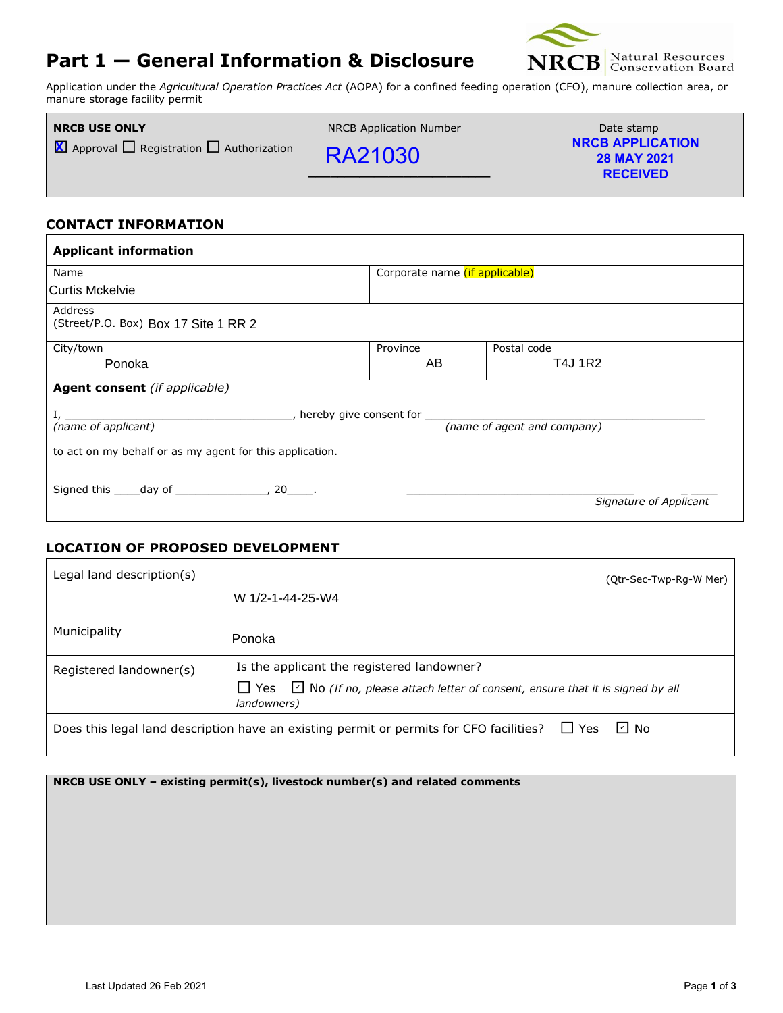# **Part 1 — General Information & Disclosure**



**RECEIVED**

Application under the *Agricultural Operation Practices Act* (AOPA) for a confined feeding operation (CFO), manure collection area, or manure storage facility permit

| <b>NRCB USE ONLY</b>                                       | NRCB Application Number | Date stamp                                    |
|------------------------------------------------------------|-------------------------|-----------------------------------------------|
| $\sum$ Approval $\prod$ Registration $\prod$ Authorization | <b>RA21030</b>          | <b>NRCB APPLICATION</b><br><b>28 MAY 2021</b> |

**\_\_\_\_\_\_\_\_\_\_\_\_\_\_\_\_\_\_\_\_\_\_\_\_\_**

#### **CONTACT INFORMATION**

| <b>Applicant information</b>                                                      |                                       |                             |  |  |
|-----------------------------------------------------------------------------------|---------------------------------------|-----------------------------|--|--|
| Name                                                                              | Corporate name <i>(if applicable)</i> |                             |  |  |
| Curtis Mckelvie                                                                   |                                       |                             |  |  |
| Address<br>(Street/P.O. Box) Box 17 Site 1 RR 2                                   |                                       |                             |  |  |
| City/town                                                                         | Province                              | Postal code                 |  |  |
| Ponoka                                                                            | AB                                    | T4J 1R2                     |  |  |
| <b>Agent consent</b> (if applicable)                                              |                                       |                             |  |  |
| ________, hereby give consent for ______________<br>$1, \underline{\hspace{1cm}}$ |                                       |                             |  |  |
| (name of applicant)                                                               |                                       | (name of agent and company) |  |  |
| to act on my behalf or as my agent for this application.                          |                                       |                             |  |  |
| Signed this _____ day of _________________, 20_____.                              |                                       | Signature of Applicant      |  |  |
|                                                                                   |                                       |                             |  |  |

#### **LOCATION OF PROPOSED DEVELOPMENT**

| Legal land description(s) | (Qtr-Sec-Twp-Rg-W Mer)                                                                                                |
|---------------------------|-----------------------------------------------------------------------------------------------------------------------|
|                           | W 1/2-1-44-25-W4                                                                                                      |
| Municipality              | Ponoka                                                                                                                |
| Registered landowner(s)   | Is the applicant the registered landowner?                                                                            |
|                           | $\Box$ Yes $\Box$ No (If no, please attach letter of consent, ensure that it is signed by all<br>landowners)          |
|                           | $\lfloor$ No<br>$\Box$ Yes<br>Does this legal land description have an existing permit or permits for CFO facilities? |

**NRCB USE ONLY – existing permit(s), livestock number(s) and related comments**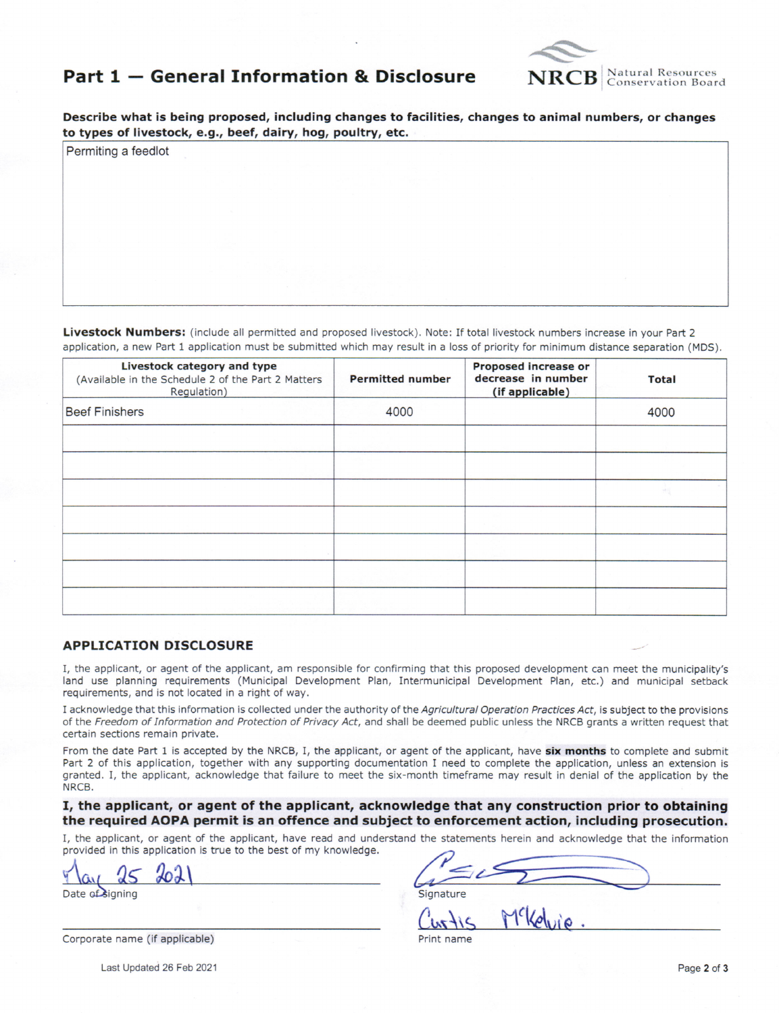

## Part 1 - General Information & Disclosure

Describe what is being proposed, including changes to facilities, changes to animal numbers, or changes to types of livestock, e.g., beef, dairy, hog, poultry, etc.

Livestock Numbers: (include all permitted and proposed livestock). Note: If total livestock numbers increase in your Part 2 application, a new Part 1 application must be submitted which may result in a loss of priority for minimum distance separation (MDS).

| Livestock category and type<br>(Available in the Schedule 2 of the Part 2 Matters<br>Regulation) | <b>Permitted number</b> | Proposed increase or<br>decrease in number<br>(if applicable) | <b>Total</b> |
|--------------------------------------------------------------------------------------------------|-------------------------|---------------------------------------------------------------|--------------|
| <b>Beef Finishers</b>                                                                            | 4000                    |                                                               | 4000         |
|                                                                                                  |                         |                                                               |              |
|                                                                                                  |                         |                                                               |              |
|                                                                                                  |                         |                                                               |              |
|                                                                                                  |                         |                                                               |              |
|                                                                                                  |                         |                                                               |              |
|                                                                                                  |                         |                                                               |              |
|                                                                                                  |                         |                                                               |              |

#### **APPLICATION DISCLOSURE**

Permiting a feedlot

I, the applicant, or agent of the applicant, am responsible for confirming that this proposed development can meet the municipality's land use planning requirements (Municipal Development Plan, Intermunicipal Development Plan, etc.) and municipal setback requirements, and is not located in a right of way.

I acknowledge that this information is collected under the authority of the Agricultural Operation Practices Act, is subject to the provisions of the Freedom of Information and Protection of Privacy Act, and shall be deemed public unless the NRCB grants a written request that certain sections remain private.

From the date Part 1 is accepted by the NRCB, I, the applicant, or agent of the applicant, have six months to complete and submit Part 2 of this application, together with any supporting documentation I need to complete the application, unless an extension is granted. I, the applicant, acknowledge that failure to meet the six-month timeframe may result in denial of the application by the NRCB.

#### I, the applicant, or agent of the applicant, acknowledge that any construction prior to obtaining the required AOPA permit is an offence and subject to enforcement action, including prosecution.

I, the applicant, or agent of the applicant, have read and understand the statements herein and acknowledge that the information provided in this application is true to the best of my knowledge.

Date of signing

| Corporate name (if applicable) |  |  |  |  |  |  |
|--------------------------------|--|--|--|--|--|--|
|--------------------------------|--|--|--|--|--|--|

Last Updated 26 Feb 2021

Signature

Print name

Page 2 of 3